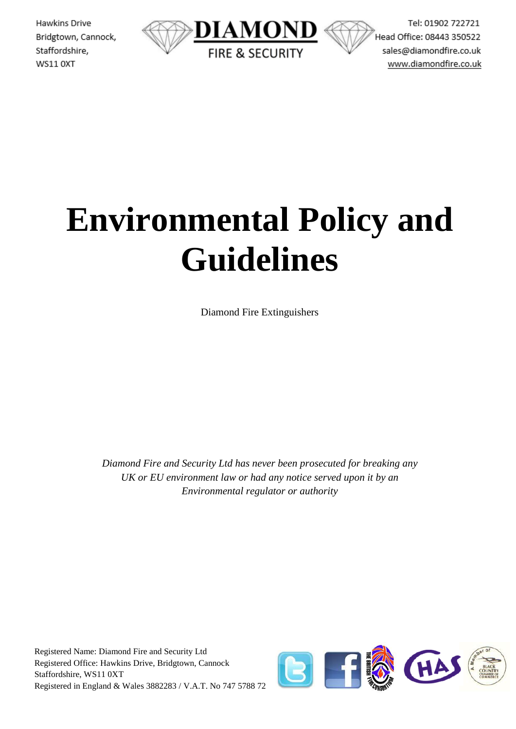Hawkins Drive Bridgtown, Cannock, Staffordshire, WS11 OXT



Tel: 01902 722721 Head Office: 08443 350522 sales@diamondfire.co.uk www.diamondfire.co.uk

# **Environmental Policy and Guidelines**

Diamond Fire Extinguishers

*Diamond Fire and Security Ltd has never been prosecuted for breaking any UK or EU environment law or had any notice served upon it by an Environmental regulator or authority*

Registered Name: Diamond Fire and Security Ltd Registered Office: Hawkins Drive, Bridgtown, Cannock Staffordshire, WS11 0XT Registered in England & Wales 3882283 / V.A.T. No 747 5788 72

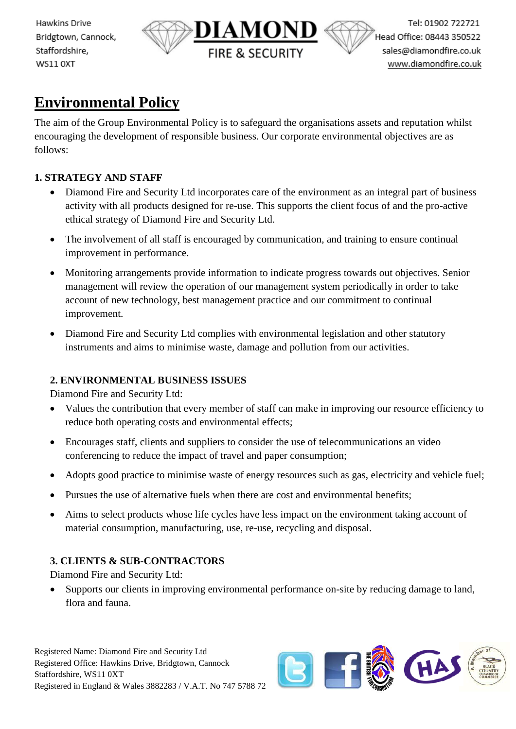Hawkins Drive Bridgtown, Cannock, Staffordshire, WS11 OXT



# **Environmental Policy**

The aim of the Group Environmental Policy is to safeguard the organisations assets and reputation whilst encouraging the development of responsible business. Our corporate environmental objectives are as follows:

## **1. STRATEGY AND STAFF**

- Diamond Fire and Security Ltd incorporates care of the environment as an integral part of business activity with all products designed for re-use. This supports the client focus of and the pro-active ethical strategy of Diamond Fire and Security Ltd.
- The involvement of all staff is encouraged by communication, and training to ensure continual improvement in performance.
- Monitoring arrangements provide information to indicate progress towards out objectives. Senior management will review the operation of our management system periodically in order to take account of new technology, best management practice and our commitment to continual improvement.
- Diamond Fire and Security Ltd complies with environmental legislation and other statutory instruments and aims to minimise waste, damage and pollution from our activities.

## **2. ENVIRONMENTAL BUSINESS ISSUES**

Diamond Fire and Security Ltd:

- Values the contribution that every member of staff can make in improving our resource efficiency to reduce both operating costs and environmental effects;
- Encourages staff, clients and suppliers to consider the use of telecommunications an video conferencing to reduce the impact of travel and paper consumption;
- Adopts good practice to minimise waste of energy resources such as gas, electricity and vehicle fuel;
- Pursues the use of alternative fuels when there are cost and environmental benefits;
- Aims to select products whose life cycles have less impact on the environment taking account of material consumption, manufacturing, use, re-use, recycling and disposal.

# **3. CLIENTS & SUB-CONTRACTORS**

Diamond Fire and Security Ltd:

• Supports our clients in improving environmental performance on-site by reducing damage to land, flora and fauna.

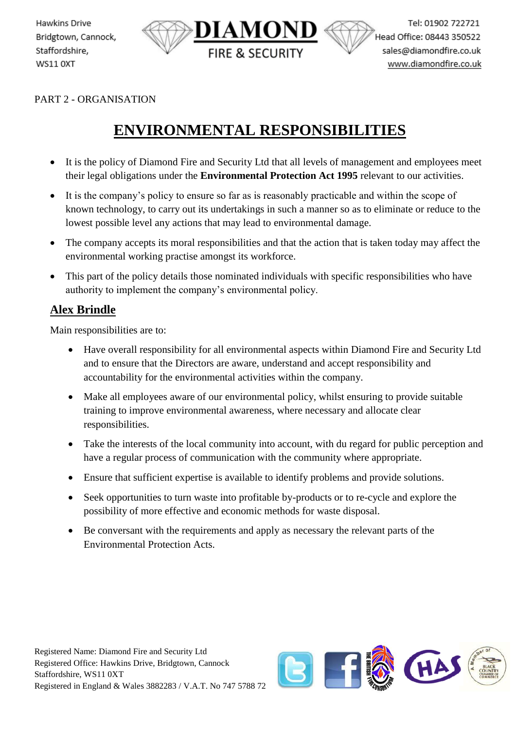

PART 2 - ORGANISATION

Hawkins Drive

Staffordshire,

**WS11 0XT** 

Bridgtown, Cannock,

# **ENVIRONMENTAL RESPONSIBILITIES**

- It is the policy of Diamond Fire and Security Ltd that all levels of management and employees meet their legal obligations under the **Environmental Protection Act 1995** relevant to our activities.
- It is the company's policy to ensure so far as is reasonably practicable and within the scope of known technology, to carry out its undertakings in such a manner so as to eliminate or reduce to the lowest possible level any actions that may lead to environmental damage.
- The company accepts its moral responsibilities and that the action that is taken today may affect the environmental working practise amongst its workforce.
- This part of the policy details those nominated individuals with specific responsibilities who have authority to implement the company's environmental policy.

## **Alex Brindle**

Main responsibilities are to:

- Have overall responsibility for all environmental aspects within Diamond Fire and Security Ltd and to ensure that the Directors are aware, understand and accept responsibility and accountability for the environmental activities within the company.
- Make all employees aware of our environmental policy, whilst ensuring to provide suitable training to improve environmental awareness, where necessary and allocate clear responsibilities.
- Take the interests of the local community into account, with du regard for public perception and have a regular process of communication with the community where appropriate.
- Ensure that sufficient expertise is available to identify problems and provide solutions.
- Seek opportunities to turn waste into profitable by-products or to re-cycle and explore the possibility of more effective and economic methods for waste disposal.
- Be conversant with the requirements and apply as necessary the relevant parts of the Environmental Protection Acts.